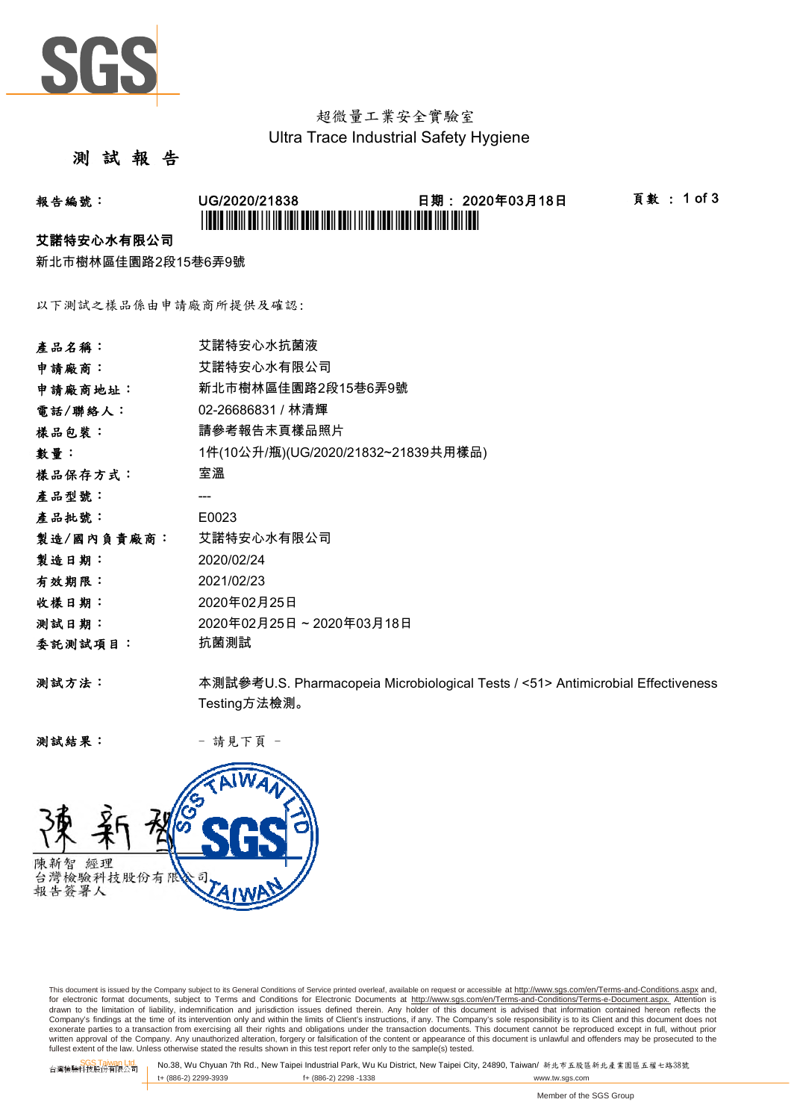

## 超微量工業安全實驗室 Ultra Trace Industrial Safety Hygiene

#### 測 試 報 告

# 報告編號: UG/2020/21838 日期: 2020年03月18日 頁數 : 1 of 3 \*UG/2020/21838\*

#### 艾諾特安心水有限公司

新北市樹林區佳園路2段15巷6弄9號

以下測試之樣品係由申請廠商所提供及確認:

| 產品名稱:      | 艾諾特安心水抗菌液                                                                       |
|------------|---------------------------------------------------------------------------------|
| 申請廠商:      | 艾諾特安心水有限公司                                                                      |
| 申請廠商地址:    | 新北市樹林區佳園路2段15巷6弄9號                                                              |
| 電話/聯絡人:    | 02-26686831 / 林清輝                                                               |
| 樣品包裝:      | 請參考報告末頁樣品照片                                                                     |
| 數量:        | 1件(10公升/瓶)(UG/2020/21832~21839共用樣品)                                             |
| 樣品保存方式:    | 室溫                                                                              |
| 產品型號:      |                                                                                 |
| 產品批號:      | E0023                                                                           |
| 製造/國內負責廠商: | 艾諾特安心水有限公司                                                                      |
| 製造日期:      | 2020/02/24                                                                      |
| 有效期限:      | 2021/02/23                                                                      |
| 收樣日期:      | 2020年02月25日                                                                     |
| 测試日期:      | 2020年02月25日~2020年03月18日                                                         |
| 委託測試項目:    | 抗菌測試                                                                            |
| 测試方法:      | 本測試參考U.S. Pharmacopeia Microbiological Tests / <51> Antimicrobial Effectiveness |
|            | Testing方法檢測。                                                                    |

测試結果: - 請見下頁 -



This document is issued by the Company subject to its General Conditions of Service printed overleaf, available on request or accessible at http://www.sgs.com/en/Terms-and-Conditions.aspx and, for electronic format documents, subject to Terms and Conditions for Electronic Documents at <u>http://www.sqs.com/en/Terms-and-Conditions/Terms-e-Document.aspx.</u> Attention is<br>drawn to the limitation of liability, indemnific exonerate parties to a transaction from exercising all their rights and obligations under the transaction documents. This document cannot be reproduced except in full, without prior prior<br>written approval of the Company. A

SGS Taiwan Ltd. No.38, Wu Chyuan 7th Rd., New Taipei Industrial Park, Wu Ku District, New Taipei City, 24890, Taiwan/ 新北市五股區新北產業園區五權七路38號<br>| t+ (886-2) 2299-3939 f+ (886-2) 2298 -1338 www.tw. t+ (886-2) 2299-3939 f+ (886-2) 2298 -1338 www.tw.sgs.com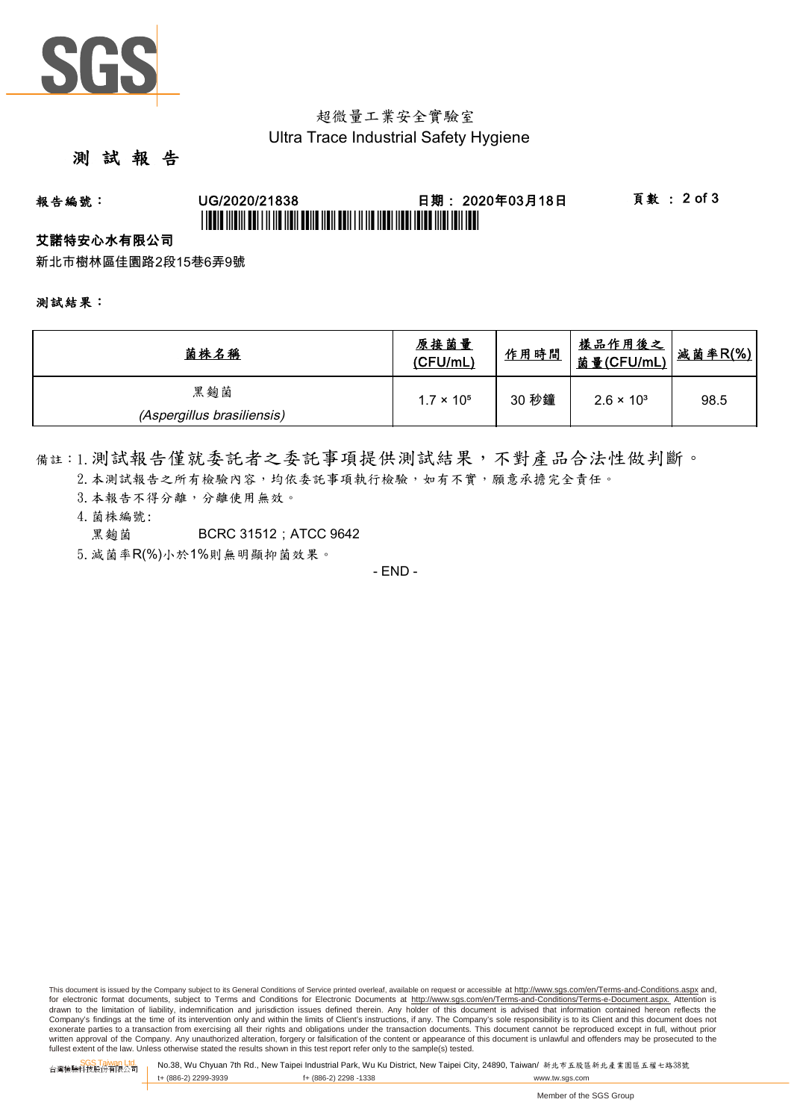

## 超微量工業安全實驗室 Ultra Trace Industrial Safety Hygiene

### 測 試 報 告

# 報告編號: UG/2020/21838 日期: 2020年03月18日 頁數 : 2 of 3 \*UGBIT INDIVI ABI I II IID NON BANA NAN ABIN I II IID NABI INDIVIDA INDI IBN 1811

#### 艾諾特安心水有限公司

新北市樹林區佳園路2段15巷6弄9號

#### 測試結果:

| 菌株名稱                       | 原接菌量<br>(CFU/mL)    | 作用時間  | <u>樣品作用後之</u><br>菌量(CFU/mL) | 减菌率R(%) |
|----------------------------|---------------------|-------|-----------------------------|---------|
| 黑麴菌                        | $1.7 \times 10^{5}$ | 30 秒鐘 | $2.6 \times 10^{3}$         | 98.5    |
| (Aspergillus brasiliensis) |                     |       |                             |         |

備註:1.測試報告僅就委託者之委託事項提供測試結果,不對產品合法性做判斷。

- 2. 本測試報告之所有檢驗內容,均依委託事項執行檢驗,如有不實,願意承擔完全責任。
- 3. 本報告不得分離,分離使用無效。
- 4.菌株編號:
	- **里麴菌 BCRC 31512: ATCC 9642**
- 5.減菌率R(%)小於1%則無明顯抑菌效果。

- END -

This document is issued by the Company subject to its General Conditions of Service printed overleaf, available on request or accessible at http://www.sqs.com/en/Terms-and-Conditions.aspx and, for electronic format documents, subject to Terms and Conditions for Electronic Documents at http://www.sgs.com/en/Terms-and-Conditions/Terms-e-Document.aspx. Attention is drawn to the limitation of liability, indemnification and jurisdiction issues defined therein. Any holder of this document is advised that information contained hereon reflects the<br>Company's findings at the time of its int exonerate parties to a transaction from exercising all their rights and obligations under the transaction documents. This document cannot be reproduced except in full, without prior written approval of the Company. Any unauthorized alteration, forgery or falsification of the content or appearance of this document is unlawful and offenders may be prosecuted to the<br>fullest extent of the law. Unless othe